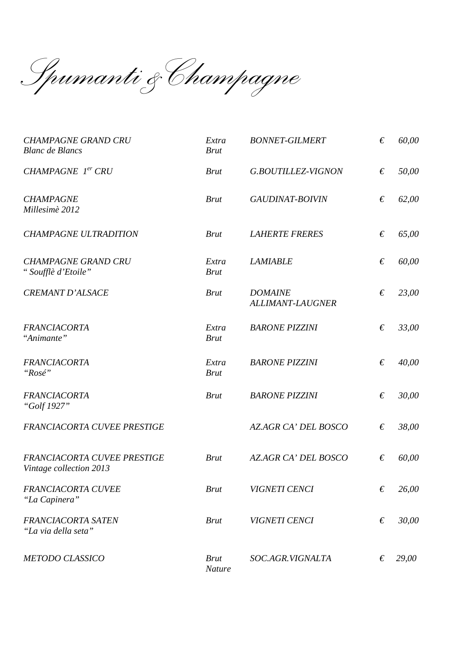$\overline{\phantom{a}}$ *Spumanti &Champagne* 

| <b>CHAMPAGNE GRAND CRU</b><br><b>Blanc</b> de <b>Blancs</b> | Extra<br><b>Brut</b>         | <b>BONNET-GILMERT</b>                     | € | 60,00 |
|-------------------------------------------------------------|------------------------------|-------------------------------------------|---|-------|
| CHAMPAGNE 1er CRU                                           | <b>Brut</b>                  | G.BOUTILLEZ-VIGNON                        | € | 50,00 |
| <b>CHAMPAGNE</b><br>Millesimè 2012                          | <b>Brut</b>                  | GAUDINAT-BOIVIN                           | € | 62,00 |
| <b>CHAMPAGNE ULTRADITION</b>                                | <b>Brut</b>                  | <b>LAHERTE FRERES</b>                     | € | 65,00 |
| <b>CHAMPAGNE GRAND CRU</b><br>"Soufflè d'Etoile"            | Extra<br><b>Brut</b>         | <b>LAMIABLE</b>                           | € | 60,00 |
| <b>CREMANT D'ALSACE</b>                                     | <b>Brut</b>                  | <b>DOMAINE</b><br><b>ALLIMANT-LAUGNER</b> | € | 23,00 |
| <b>FRANCIACORTA</b><br>"Animante"                           | Extra<br><b>Brut</b>         | <b>BARONE PIZZINI</b>                     | € | 33,00 |
| <b>FRANCIACORTA</b><br>"Rosé"                               | Extra<br><b>Brut</b>         | <b>BARONE PIZZINI</b>                     | € | 40,00 |
| <b>FRANCIACORTA</b><br>"Golf 1927"                          | <b>Brut</b>                  | <b>BARONE PIZZINI</b>                     | € | 30,00 |
| FRANCIACORTA CUVEE PRESTIGE                                 |                              | AZ.AGR CA' DEL BOSCO                      | € | 38,00 |
| FRANCIACORTA CUVEE PRESTIGE<br>Vintage collection 2013      | <b>Brut</b>                  | <b>AZAGR CA' DEL BOSCO</b>                | € | 60,00 |
| FRANCIACORTA CUVEE<br>"La Capinera"                         | <b>Brut</b>                  | VIGNETI CENCI                             | € | 26,00 |
| FRANCIACORTA SATEN<br>"La via della seta"                   | <b>Brut</b>                  | VIGNETI CENCI                             | € | 30,00 |
| <b>METODO CLASSICO</b>                                      | <b>Brut</b><br><b>Nature</b> | SOC.AGR.VIGNALTA                          | € | 29,00 |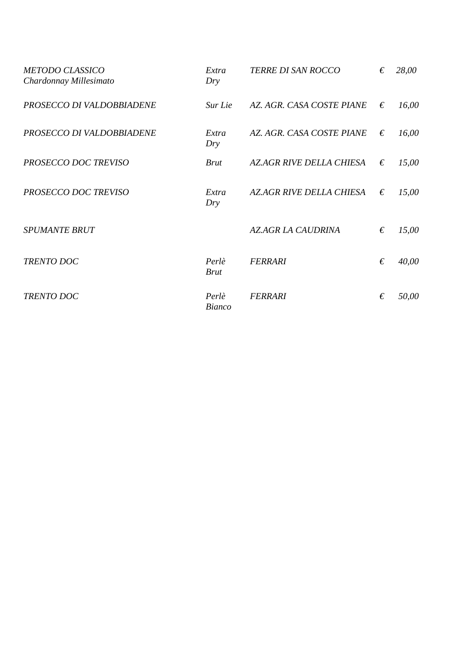| <b>METODO CLASSICO</b><br>Chardonnay Millesimato | Extra<br>Dry           | <b>TERRE DI SAN ROCCO</b>      | € | 28,00 |
|--------------------------------------------------|------------------------|--------------------------------|---|-------|
| PROSECCO DI VALDOBBIADENE                        | Sur Lie                | AZ. AGR. CASA COSTE PIANE      | € | 16,00 |
| PROSECCO DI VALDOBBIADENE                        | Extra<br>Dry           | AZ. AGR. CASA COSTE PIANE      | € | 16,00 |
| PROSECCO DOC TREVISO                             | <b>Brut</b>            | <b>AZAGR RIVE DELLA CHIESA</b> | € | 15,00 |
| PROSECCO DOC TREVISO                             | Extra<br>Dry           | <b>AZAGR RIVE DELLA CHIESA</b> | € | 15,00 |
| <b>SPUMANTE BRUT</b>                             |                        | <b>AZAGR LA CAUDRINA</b>       | € | 15,00 |
| <b>TRENTO DOC</b>                                | Perlè<br><b>Brut</b>   | <b>FERRARI</b>                 | € | 40,00 |
| <b>TRENTO DOC</b>                                | Perlè<br><b>Bianco</b> | <b>FERRARI</b>                 | € | 50,00 |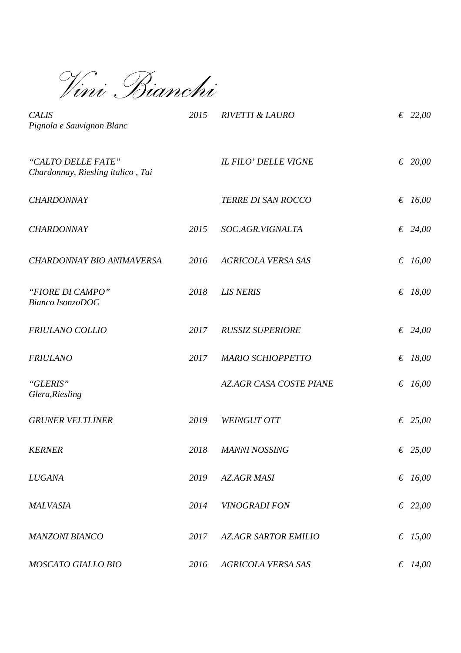*Vini Bianchi* 

| <b>CALIS</b><br>Pignola e Sauvignon Blanc               | 2015 | <b>RIVETTI &amp; LAURO</b>     | € 22,00   |
|---------------------------------------------------------|------|--------------------------------|-----------|
| "CALTO DELLE FATE"<br>Chardonnay, Riesling italico, Tai |      | <b>IL FILO' DELLE VIGNE</b>    | € 20,00   |
| <b>CHARDONNAY</b>                                       |      | TERRE DI SAN ROCCO             | € $16,00$ |
| <b>CHARDONNAY</b>                                       | 2015 | SOC.AGR.VIGNALTA               | € 24,00   |
| CHARDONNAY BIO ANIMAVERSA                               | 2016 | <b>AGRICOLA VERSA SAS</b>      | € $16,00$ |
| "FIORE DI CAMPO"<br>Bianco IsonzoDOC                    | 2018 | <b>LIS NERIS</b>               | € 18,00   |
| FRIULANO COLLIO                                         | 2017 | <b>RUSSIZ SUPERIORE</b>        | € 24,00   |
| <b>FRIULANO</b>                                         | 2017 | <b>MARIO SCHIOPPETTO</b>       | € $18,00$ |
| "GLERIS"<br>Glera, Riesling                             |      | <b>AZ.AGR CASA COSTE PIANE</b> | € $16,00$ |
| <b>GRUNER VELTLINER</b>                                 | 2019 | <b>WEINGUT OTT</b>             | € 25,00   |
| <b>KERNER</b>                                           | 2018 | <b>MANNI NOSSING</b>           | € 25,00   |
| <b>LUGANA</b>                                           | 2019 | <b>AZ.AGR MASI</b>             | € $16,00$ |
| <b>MALVASIA</b>                                         | 2014 | <b>VINOGRADI FON</b>           | € 22,00   |
| <b>MANZONI BIANCO</b>                                   | 2017 | <b>AZ.AGR SARTOR EMILIO</b>    | € $15,00$ |
| MOSCATO GIALLO BIO                                      | 2016 | AGRICOLA VERSA SAS             | € $14,00$ |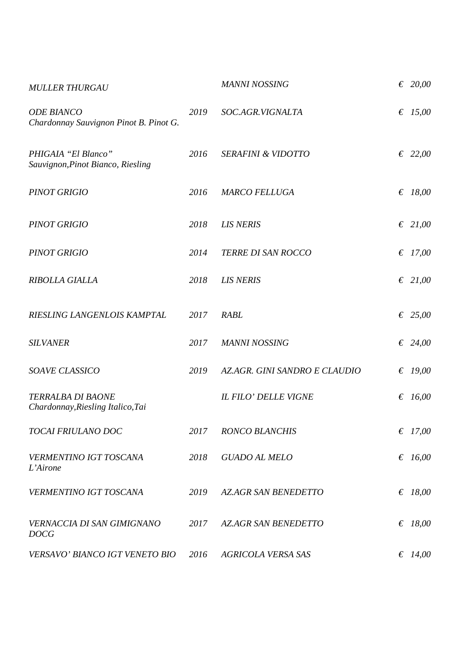| <b>MULLER THURGAU</b>                                       |      | <b>MANNI NOSSING</b>          | € 20,00   |
|-------------------------------------------------------------|------|-------------------------------|-----------|
| <b>ODE BIANCO</b><br>Chardonnay Sauvignon Pinot B. Pinot G. | 2019 | SOC.AGR.VIGNALTA              | € 15,00   |
| PHIGAIA "El Blanco"<br>Sauvignon, Pinot Bianco, Riesling    | 2016 | <b>SERAFINI &amp; VIDOTTO</b> | € 22,00   |
| <b>PINOT GRIGIO</b>                                         | 2016 | <b>MARCO FELLUGA</b>          | € $18,00$ |
| <b>PINOT GRIGIO</b>                                         | 2018 | <b>LIS NERIS</b>              | € 21,00   |
| <b>PINOT GRIGIO</b>                                         | 2014 | TERRE DI SAN ROCCO            | € 17,00   |
| RIBOLLA GIALLA                                              | 2018 | <b>LIS NERIS</b>              | € 21,00   |
| RIESLING LANGENLOIS KAMPTAL                                 | 2017 | <b>RABL</b>                   | € 25,00   |
| <b>SILVANER</b>                                             | 2017 | <b>MANNI NOSSING</b>          | € 24,00   |
| SOAVE CLASSICO                                              | 2019 | AZ.AGR. GINI SANDRO E CLAUDIO | € $19,00$ |
| TERRALBA DI BAONE<br>Chardonnay, Riesling Italico, Tai      |      | <b>IL FILO' DELLE VIGNE</b>   | € $16,00$ |
| TOCAI FRIULANO DOC                                          | 2017 | <b>RONCO BLANCHIS</b>         | € $17,00$ |
| VERMENTINO IGT TOSCANA<br>L'Airone                          | 2018 | <b>GUADO AL MELO</b>          | € $16,00$ |
| VERMENTINO IGT TOSCANA                                      | 2019 | <b>AZ.AGR SAN BENEDETTO</b>   | € $18,00$ |
| <b>VERNACCIA DI SAN GIMIGNANO</b><br><b>DOCG</b>            | 2017 | <b>AZ.AGR SAN BENEDETTO</b>   | € $18,00$ |
| VERSAVO' BIANCO IGT VENETO BIO                              | 2016 | <b>AGRICOLA VERSA SAS</b>     | € $14,00$ |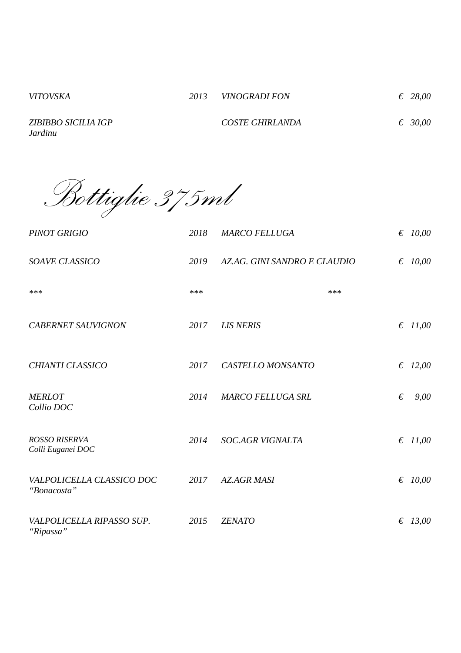*ZIBIBBO SICILIA IGP Jardinu* 

 *COSTE GHIRLANDA € 30,00*

*Bottiglie 375ml* 

| <b>PINOT GRIGIO</b>                       | 2018 | <b>MARCO FELLUGA</b>         | $\epsilon$ 10,00 |
|-------------------------------------------|------|------------------------------|------------------|
| SOAVE CLASSICO                            | 2019 | AZ.AG. GINI SANDRO E CLAUDIO | $\epsilon$ 10,00 |
| $***$                                     | ***  | ***                          |                  |
| <b>CABERNET SAUVIGNON</b>                 | 2017 | <b>LIS NERIS</b>             | $\epsilon$ 11,00 |
| CHIANTI CLASSICO                          | 2017 | CASTELLO MONSANTO            | $\epsilon$ 12,00 |
| <b>MERLOT</b><br>Collio DOC               | 2014 | <b>MARCO FELLUGA SRL</b>     | €<br>9,00        |
| <b>ROSSO RISERVA</b><br>Colli Euganei DOC | 2014 | <b>SOC.AGR VIGNALTA</b>      | $\epsilon$ 11,00 |
| VALPOLICELLA CLASSICO DOC<br>"Bonacosta"  | 2017 | <b>AZ.AGR MASI</b>           | € $10,00$        |
| VALPOLICELLA RIPASSO SUP.<br>"Ripassa"    | 2015 | <b>ZENATO</b>                | $\epsilon$ 13,00 |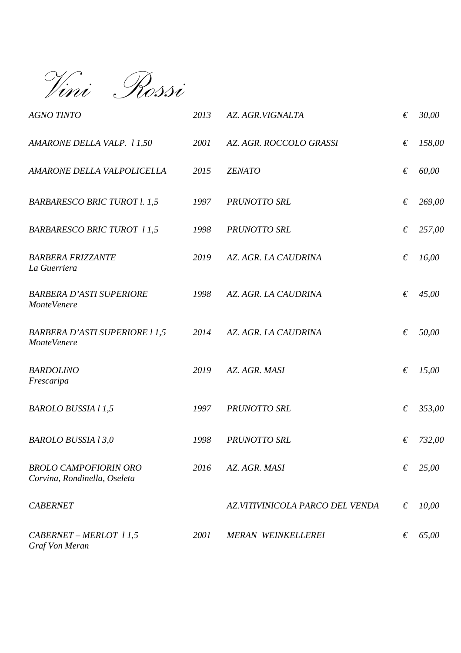*Vini Rossi* 

| <b>AGNO TINTO</b>                                            | 2013        | AZ. AGR.VIGNALTA                | € | 30,00  |
|--------------------------------------------------------------|-------------|---------------------------------|---|--------|
| AMARONE DELLA VALP. 11,50                                    | 2001        | AZ. AGR. ROCCOLO GRASSI         | € | 158,00 |
| AMARONE DELLA VALPOLICELLA                                   | 2015        | <b>ZENATO</b>                   | € | 60,00  |
| <b>BARBARESCO BRIC TUROT l. 1,5</b>                          | 1997        | <b>PRUNOTTO SRL</b>             | € | 269,00 |
| <b>BARBARESCO BRIC TUROT 11,5</b>                            | 1998        | <b>PRUNOTTO SRL</b>             | € | 257,00 |
| <b>BARBERA FRIZZANTE</b><br>La Guerriera                     | 2019        | AZ. AGR. LA CAUDRINA            | € | 16,00  |
| <b>BARBERA D'ASTI SUPERIORE</b><br><b>MonteVenere</b>        | 1998        | AZ. AGR. LA CAUDRINA            | € | 45,00  |
| <b>BARBERA D'ASTI SUPERIORE 11,5</b><br><b>MonteVenere</b>   | 2014        | AZ. AGR. LA CAUDRINA            | € | 50,00  |
| <b>BARDOLINO</b><br>Frescaripa                               | 2019        | AZ. AGR. MASI                   | € | 15,00  |
| <b>BAROLO BUSSIA 11,5</b>                                    | 1997        | <b>PRUNOTTO SRL</b>             | € | 353,00 |
| <b>BAROLO BUSSIA 13,0</b>                                    | 1998        | <b>PRUNOTTO SRL</b>             | € | 732,00 |
| <b>BROLO CAMPOFIORIN ORO</b><br>Corvina, Rondinella, Oseleta | 2016        | AZ. AGR. MASI                   | € | 25,00  |
| <b>CABERNET</b>                                              |             | AZ.VITIVINICOLA PARCO DEL VENDA | € | 10,00  |
| CABERNET - MERLOT 11,5<br>Graf Von Meran                     | <i>2001</i> | <b>MERAN WEINKELLEREI</b>       | € | 65,00  |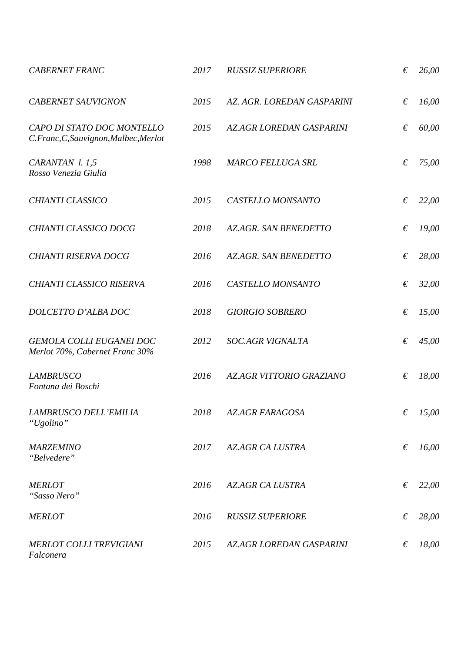| <b>CABERNET FRANC</b>                                               | 2017 | <b>RUSSIZ SUPERIORE</b>        | € | 26,00 |
|---------------------------------------------------------------------|------|--------------------------------|---|-------|
| <b>CABERNET SAUVIGNON</b>                                           | 2015 | AZ. AGR. LOREDAN GASPARINI     | € | 16,00 |
| CAPO DI STATO DOC MONTELLO<br>C.Franc, C, Sauvignon, Malbec, Merlot | 2015 | <b>AZAGR LOREDAN GASPARINI</b> | € | 60,00 |
| CARANTAN 1.1,5<br>Rosso Venezia Giulia                              | 1998 | <b>MARCO FELLUGA SRL</b>       | € | 75,00 |
| CHIANTI CLASSICO                                                    | 2015 | CASTELLO MONSANTO              | € | 22,00 |
| CHIANTI CLASSICO DOCG                                               | 2018 | <b>AZ.AGR. SAN BENEDETTO</b>   | € | 19,00 |
| <b>CHIANTI RISERVA DOCG</b>                                         | 2016 | <b>AZAGR. SAN BENEDETTO</b>    | € | 28,00 |
| CHIANTI CLASSICO RISERVA                                            | 2016 | CASTELLO MONSANTO              | € | 32,00 |
| DOLCETTO D'ALBA DOC                                                 | 2018 | <b>GIORGIO SOBRERO</b>         | € | 15,00 |
| GEMOLA COLLI EUGANEI DOC<br>Merlot 70%, Cabernet Franc 30%          | 2012 | <b>SOC.AGR VIGNALTA</b>        | € | 45,00 |
| <b>LAMBRUSCO</b><br>Fontana dei Boschi                              | 2016 | AZ.AGR VITTORIO GRAZIANO       | € | 18,00 |
| LAMBRUSCO DELL'EMILIA<br>"Ugolino"                                  | 2018 | AZ.AGR FARAGOSA                | € | 15,00 |
| <b>MARZEMINO</b><br>"Belvedere"                                     | 2017 | <b>AZ.AGR CA LUSTRA</b>        | € | 16,00 |
| <b>MERLOT</b><br>"Sasso Nero"                                       | 2016 | <b>AZ.AGR CA LUSTRA</b>        | € | 22,00 |
| <b>MERLOT</b>                                                       | 2016 | <b>RUSSIZ SUPERIORE</b>        | € | 28,00 |
| <b>MERLOT COLLI TREVIGIANI</b><br>Falconera                         | 2015 | <b>AZAGR LOREDAN GASPARINI</b> | € | 18,00 |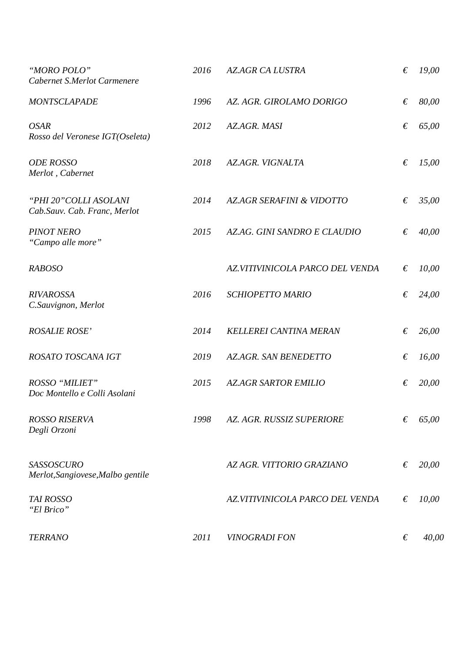| "MORO POLO"<br>Cabernet S.Merlot Carmenere             | 2016 | <b>AZAGR CA LUSTRA</b>          | € | 19,00 |
|--------------------------------------------------------|------|---------------------------------|---|-------|
| <b>MONTSCLAPADE</b>                                    | 1996 | AZ. AGR. GIROLAMO DORIGO        | € | 80,00 |
| <b>OSAR</b><br>Rosso del Veronese IGT(Oseleta)         | 2012 | AZ.AGR. MASI                    | € | 65,00 |
| <b>ODE ROSSO</b><br>Merlot, Cabernet                   | 2018 | <b>AZ.AGR. VIGNALTA</b>         | € | 15,00 |
| "PHI 20" COLLI ASOLANI<br>Cab.Sauv. Cab. Franc, Merlot | 2014 | AZAGR SERAFINI & VIDOTTO        | € | 35,00 |
| <b>PINOT NERO</b><br>"Campo alle more"                 | 2015 | AZAG. GINI SANDRO E CLAUDIO     | € | 40,00 |
| <b>RABOSO</b>                                          |      | AZ.VITIVINICOLA PARCO DEL VENDA | € | 10,00 |
| <b>RIVAROSSA</b><br>C.Sauvignon, Merlot                | 2016 | <b>SCHIOPETTO MARIO</b>         | € | 24,00 |
| <b>ROSALIE ROSE'</b>                                   | 2014 | <b>KELLEREI CANTINA MERAN</b>   | € | 26,00 |
| ROSATO TOSCANA IGT                                     | 2019 | <b>AZ.AGR. SAN BENEDETTO</b>    | € | 16,00 |
| <b>ROSSO "MILIET"</b><br>Doc Montello e Colli Asolani  | 2015 | <b>AZ.AGR SARTOR EMILIO</b>     | € | 20,00 |
| <b>ROSSO RISERVA</b><br>Degli Orzoni                   | 1998 | AZ. AGR. RUSSIZ SUPERIORE       | € | 65,00 |
| <b>SASSOSCURO</b><br>Merlot, Sangiovese, Malbo gentile |      | AZ AGR. VITTORIO GRAZIANO       | € | 20,00 |
| <b>TAI ROSSO</b><br>"El Brico"                         |      | AZ.VITIVINICOLA PARCO DEL VENDA | € | 10,00 |
| <b>TERRANO</b>                                         | 2011 | <b>VINOGRADI FON</b>            | € | 40,00 |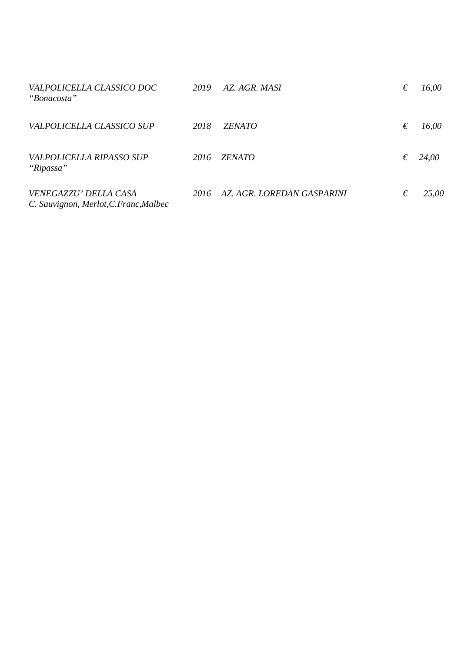| VALPOLICELLA CLASSICO DOC<br>"Bonacosta"                        | 2019 | AZ. AGR. MASI              | € | 16,00 |
|-----------------------------------------------------------------|------|----------------------------|---|-------|
| VALPOLICELLA CLASSICO SUP                                       | 2018 | <i>ZENATO</i>              | € | 16,00 |
| VALPOLICELLA RIPASSO SUP<br>"Ripassa"                           | 2016 | <b>ZENATO</b>              | € | 24,00 |
| VENEGAZZU' DELLA CASA<br>C. Sauvignon, Merlot, C. Franc, Malbec | 2016 | AZ. AGR. LOREDAN GASPARINI | € | 25,00 |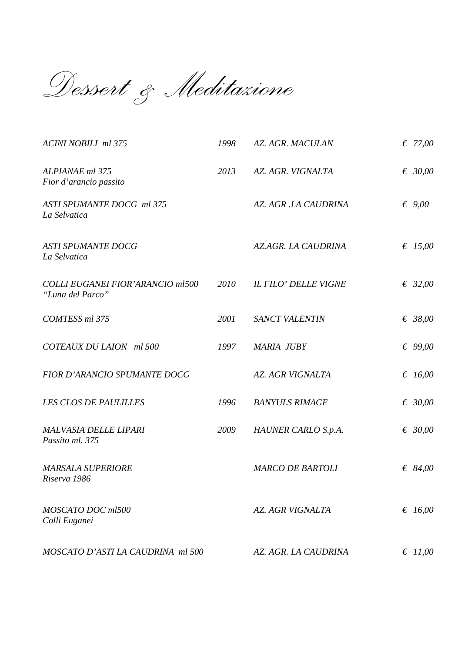*Dessert & Meditazione*

| <b>ACINI NOBILI ml 375</b>                                  | 1998 | AZ. AGR. MACULAN            | € 77,00         |
|-------------------------------------------------------------|------|-----------------------------|-----------------|
| ALPIANAE ml 375<br>Fior d'arancio passito                   | 2013 | AZ. AGR. VIGNALTA           | € 30,00         |
| ASTI SPUMANTE DOCG ml 375<br>La Selvatica                   |      | AZ. AGR.LA CAUDRINA         | $\epsilon$ 9,00 |
| <b>ASTI SPUMANTE DOCG</b><br>La Selvatica                   |      | AZ.AGR. LA CAUDRINA         | € 15,00         |
| <b>COLLI EUGANEI FIOR'ARANCIO ml500</b><br>"Luna del Parco" | 2010 | <b>IL FILO' DELLE VIGNE</b> | € 32,00         |
| COMTESS ml 375                                              | 2001 | <b>SANCT VALENTIN</b>       | € 38,00         |
| COTEAUX DU LAION ml 500                                     | 1997 | <b>MARIA JUBY</b>           | € 99,00         |
| <b>FIOR D'ARANCIO SPUMANTE DOCG</b>                         |      | <b>AZ. AGR VIGNALTA</b>     | € 16,00         |
| <b>LES CLOS DE PAULILLES</b>                                | 1996 | <b>BANYULS RIMAGE</b>       | € 30,00         |
| <b>MALVASIA DELLE LIPARI</b><br>Passito ml. 375             | 2009 | HAUNER CARLO S.p.A.         | € 30,00         |
| <b>MARSALA SUPERIORE</b><br>Riserva 1986                    |      | <b>MARCO DE BARTOLI</b>     | € 84,00         |
| MOSCATO DOC ml500<br>Colli Euganei                          |      | <b>AZ. AGR VIGNALTA</b>     | € $16,00$       |
| MOSCATO D'ASTI LA CAUDRINA ml 500                           |      | AZ. AGR. LA CAUDRINA        | € $11,00$       |